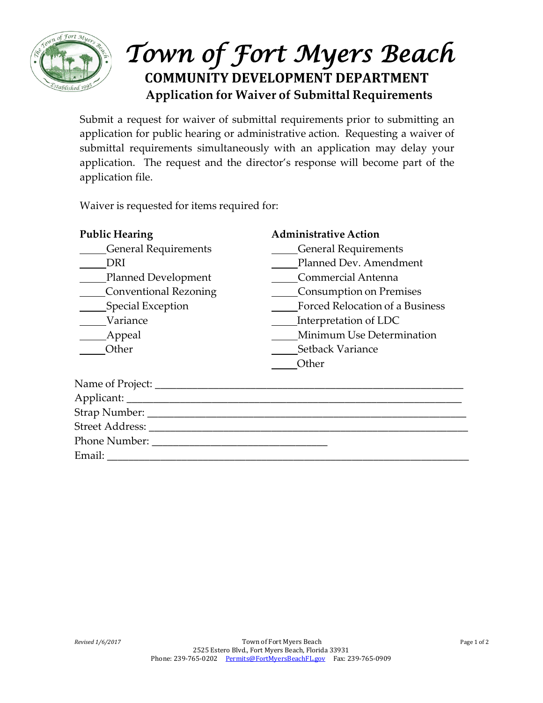

## *Town of Fort Myers Beach* **COMMUNITY DEVELOPMENT DEPARTMENT Application for Waiver of Submittal Requirements**

Submit a request for waiver of submittal requirements prior to submitting an application for public hearing or administrative action. Requesting a waiver of submittal requirements simultaneously with an application may delay your application. The request and the director's response will become part of the application file.

Waiver is requested for items required for:

Phone Number: \_\_\_\_\_\_\_\_\_\_\_\_\_\_\_\_\_\_\_\_\_\_\_\_\_\_\_\_\_\_\_\_\_

| <b>Public Hearing</b>       | <b>Administrative Action</b>    |
|-----------------------------|---------------------------------|
| <b>General Requirements</b> | <b>General Requirements</b>     |
| DRI                         | Planned Dev. Amendment          |
| Planned Development         | Commercial Antenna              |
| Conventional Rezoning       | Consumption on Premises         |
| Special Exception           | Forced Relocation of a Business |
| Variance                    | Interpretation of LDC           |
| Appeal                      | Minimum Use Determination       |
| Other                       | Setback Variance                |
|                             | Other                           |
| Name of Project: ___        |                                 |
| Applicant: ______           |                                 |
| Strap Number: __            |                                 |
| <b>Street Address:</b>      |                                 |

Email: